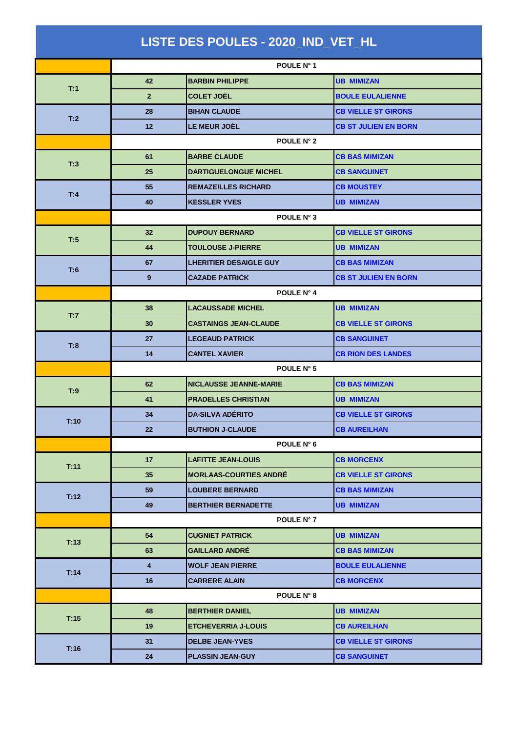| LISTE DES POULES - 2020_IND_VET_HL |                         |                               |                             |  |  |
|------------------------------------|-------------------------|-------------------------------|-----------------------------|--|--|
|                                    |                         | POULE N° 1                    |                             |  |  |
|                                    | 42                      | <b>BARBIN PHILIPPE</b>        | <b>UB MIMIZAN</b>           |  |  |
| T:1                                | $\overline{2}$          | <b>COLET JOËL</b>             | <b>BOULE EULALIENNE</b>     |  |  |
| T:2                                | 28                      | <b>BIHAN CLAUDE</b>           | <b>CB VIELLE ST GIRONS</b>  |  |  |
|                                    | 12                      | LE MEUR JOËL                  | <b>CB ST JULIEN EN BORN</b> |  |  |
|                                    | POULE N° 2              |                               |                             |  |  |
| T:3                                | 61                      | <b>BARBE CLAUDE</b>           | <b>CB BAS MIMIZAN</b>       |  |  |
|                                    | 25                      | <b>DARTIGUELONGUE MICHEL</b>  | <b>CB SANGUINET</b>         |  |  |
|                                    | 55                      | <b>REMAZEILLES RICHARD</b>    | <b>CB MOUSTEY</b>           |  |  |
| T:4                                | 40                      | <b>KESSLER YVES</b>           | <b>UB MIMIZAN</b>           |  |  |
|                                    | POULE N° 3              |                               |                             |  |  |
| T:5                                | 32                      | <b>DUPOUY BERNARD</b>         | <b>CB VIELLE ST GIRONS</b>  |  |  |
|                                    | 44                      | <b>TOULOUSE J-PIERRE</b>      | <b>UB MIMIZAN</b>           |  |  |
| T:6                                | 67                      | <b>LHERITIER DESAIGLE GUY</b> | <b>CB BAS MIMIZAN</b>       |  |  |
|                                    | $\overline{9}$          | <b>CAZADE PATRICK</b>         | <b>CB ST JULIEN EN BORN</b> |  |  |
|                                    | POULE N° 4              |                               |                             |  |  |
| T:7                                | 38                      | <b>LACAUSSADE MICHEL</b>      | <b>UB MIMIZAN</b>           |  |  |
|                                    | 30                      | <b>CASTAINGS JEAN-CLAUDE</b>  | <b>CB VIELLE ST GIRONS</b>  |  |  |
| T:8                                | 27                      | <b>LEGEAUD PATRICK</b>        | <b>CB SANGUINET</b>         |  |  |
|                                    | 14                      | <b>CANTEL XAVIER</b>          | <b>CB RION DES LANDES</b>   |  |  |
|                                    | POULE N° 5              |                               |                             |  |  |
| T:9                                | 62                      | <b>NICLAUSSE JEANNE-MARIE</b> | <b>CB BAS MIMIZAN</b>       |  |  |
|                                    | 41                      | <b>PRADELLES CHRISTIAN</b>    | <b>UB MIMIZAN</b>           |  |  |
| T:10                               | 34                      | <b>DA-SILVA ADÉRITO</b>       | <b>CB VIELLE ST GIRONS</b>  |  |  |
|                                    | 22                      | <b>BUTHION J-CLAUDE</b>       | <b>CB AUREILHAN</b>         |  |  |
|                                    |                         | POULE N° 6                    |                             |  |  |
| T:11                               | 17                      | <b>LAFITTE JEAN-LOUIS</b>     | <b>CB MORCENX</b>           |  |  |
|                                    | 35                      | <b>MORLAAS-COURTIES ANDRÉ</b> | <b>CB VIELLE ST GIRONS</b>  |  |  |
| T:12                               | 59                      | <b>LOUBERE BERNARD</b>        | <b>CB BAS MIMIZAN</b>       |  |  |
|                                    | 49                      | <b>BERTHIER BERNADETTE</b>    | <b>UB MIMIZAN</b>           |  |  |
|                                    |                         | POULE N° 7                    |                             |  |  |
| T:13                               | 54                      | <b>CUGNIET PATRICK</b>        | <b>UB MIMIZAN</b>           |  |  |
|                                    | 63                      | <b>GAILLARD ANDRÉ</b>         | <b>CB BAS MIMIZAN</b>       |  |  |
| T:14                               | $\overline{\mathbf{4}}$ | <b>WOLF JEAN PIERRE</b>       | <b>BOULE EULALIENNE</b>     |  |  |
|                                    | 16                      | <b>CARRERE ALAIN</b>          | <b>CB MORCENX</b>           |  |  |
|                                    |                         | POULE N° 8                    |                             |  |  |
| T:15                               | 48                      | <b>BERTHIER DANIEL</b>        | <b>UB MIMIZAN</b>           |  |  |
|                                    | 19                      | <b>ETCHEVERRIA J-LOUIS</b>    | <b>CB AUREILHAN</b>         |  |  |
| T:16                               | 31                      | <b>DELBE JEAN-YVES</b>        | <b>CB VIELLE ST GIRONS</b>  |  |  |
|                                    | 24                      | <b>PLASSIN JEAN-GUY</b>       | <b>CB SANGUINET</b>         |  |  |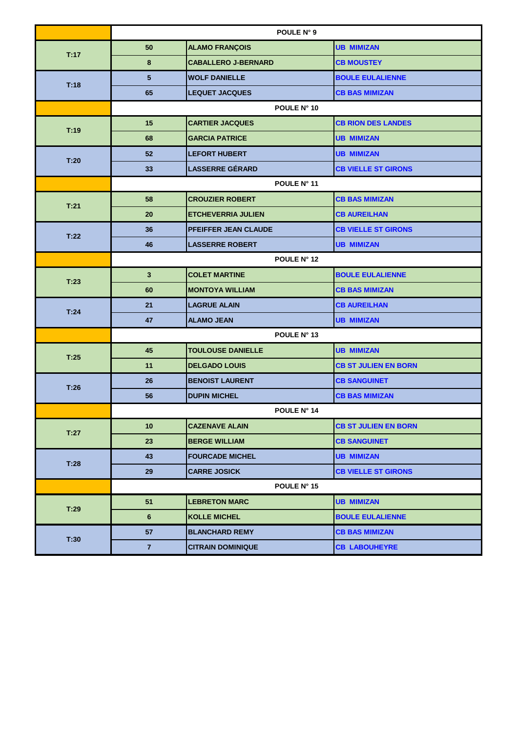|      | POULE N° 9      |                            |                             |
|------|-----------------|----------------------------|-----------------------------|
| T:17 | 50              | <b>ALAMO FRANÇOIS</b>      | <b>UB MIMIZAN</b>           |
|      | 8               | <b>CABALLERO J-BERNARD</b> | <b>CB MOUSTEY</b>           |
| T:18 | $5\phantom{.0}$ | <b>WOLF DANIELLE</b>       | <b>BOULE EULALIENNE</b>     |
|      | 65              | <b>LEQUET JACQUES</b>      | <b>CB BAS MIMIZAN</b>       |
|      | POULE N° 10     |                            |                             |
| T:19 | 15              | <b>CARTIER JACQUES</b>     | <b>CB RION DES LANDES</b>   |
|      | 68              | <b>GARCIA PATRICE</b>      | <b>UB MIMIZAN</b>           |
| T:20 | 52              | <b>LEFORT HUBERT</b>       | <b>UB MIMIZAN</b>           |
|      | 33              | <b>LASSERRE GÉRARD</b>     | <b>CB VIELLE ST GIRONS</b>  |
|      | POULE N° 11     |                            |                             |
| T:21 | 58              | <b>CROUZIER ROBERT</b>     | <b>CB BAS MIMIZAN</b>       |
|      | 20              | <b>ETCHEVERRIA JULIEN</b>  | <b>CB AUREILHAN</b>         |
| T:22 | 36              | PFEIFFER JEAN CLAUDE       | <b>CB VIELLE ST GIRONS</b>  |
|      | 46              | <b>LASSERRE ROBERT</b>     | <b>UB MIMIZAN</b>           |
|      | POULE N° 12     |                            |                             |
| T:23 | $\mathbf{3}$    | <b>COLET MARTINE</b>       | <b>BOULE EULALIENNE</b>     |
|      | 60              | <b>MONTOYA WILLIAM</b>     | <b>CB BAS MIMIZAN</b>       |
| T.24 | 21              | <b>LAGRUE ALAIN</b>        | <b>CB AUREILHAN</b>         |
|      | 47              | <b>ALAMO JEAN</b>          | <b>UB MIMIZAN</b>           |
|      | POULE N° 13     |                            |                             |
|      | 45              | <b>TOULOUSE DANIELLE</b>   | <b>UB MIMIZAN</b>           |
| T:25 | 11              | <b>DELGADO LOUIS</b>       | <b>CB ST JULIEN EN BORN</b> |
| T:26 | 26              | <b>BENOIST LAURENT</b>     | <b>CB SANGUINET</b>         |
|      | 56              | <b>DUPIN MICHEL</b>        | <b>CB BAS MIMIZAN</b>       |
|      | POULE N° 14     |                            |                             |
| T:27 | 10 <sub>1</sub> | <b>CAZENAVE ALAIN</b>      | <b>CB ST JULIEN EN BORN</b> |
|      | 23              | <b>BERGE WILLIAM</b>       | <b>CB SANGUINET</b>         |
|      | 43              | <b>FOURCADE MICHEL</b>     | <b>UB MIMIZAN</b>           |
| T:28 | 29              | <b>CARRE JOSICK</b>        | <b>CB VIELLE ST GIRONS</b>  |
|      |                 | POULE N° 15                |                             |
| T:29 | 51              | <b>LEBRETON MARC</b>       | <b>UB MIMIZAN</b>           |
|      | 6               | <b>KOLLE MICHEL</b>        | <b>BOULE EULALIENNE</b>     |
| T:30 | 57              | <b>BLANCHARD REMY</b>      | <b>CB BAS MIMIZAN</b>       |
|      | $\overline{7}$  | <b>CITRAIN DOMINIQUE</b>   | <b>CB LABOUHEYRE</b>        |